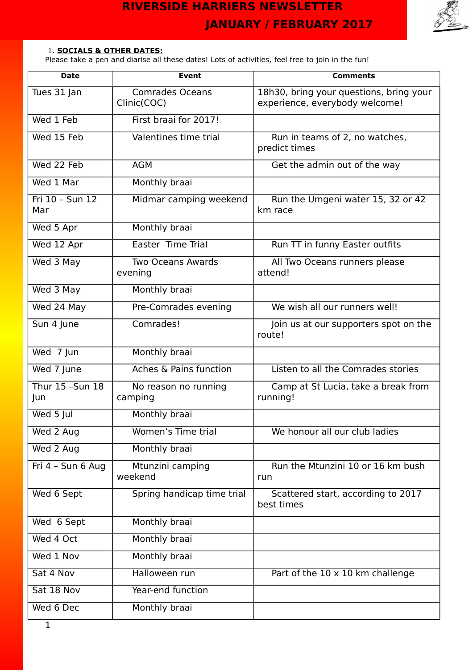

## 1. **SOCIALS & OTHER DATES:**

Please take a pen and diarise all these dates! Lots of activities, feel free to join in the fun!

| <b>Date</b>             | Event                                 | <b>Comments</b>                                                           |
|-------------------------|---------------------------------------|---------------------------------------------------------------------------|
| Tues 31 Jan             | <b>Comrades Oceans</b><br>Clinic(COC) | 18h30, bring your questions, bring your<br>experience, everybody welcome! |
| Wed 1 Feb               | First braai for 2017!                 |                                                                           |
| Wed 15 Feb              | Valentines time trial                 | Run in teams of 2, no watches,<br>predict times                           |
| Wed 22 Feb              | <b>AGM</b>                            | Get the admin out of the way                                              |
| Wed 1 Mar               | Monthly braai                         |                                                                           |
| Fri 10 - Sun 12<br>Mar  | Midmar camping weekend                | Run the Umgeni water 15, 32 or 42<br>km race                              |
| Wed 5 Apr               | Monthly braai                         |                                                                           |
| Wed 12 Apr              | Easter Time Trial                     | Run TT in funny Easter outfits                                            |
| Wed 3 May               | <b>Two Oceans Awards</b><br>evening   | All Two Oceans runners please<br>attend!                                  |
| Wed 3 May               | Monthly braai                         |                                                                           |
| Wed 24 May              | Pre-Comrades evening                  | We wish all our runners well!                                             |
| Sun 4 June              | Comrades!                             | Join us at our supporters spot on the<br>route!                           |
| $\overline{W}$ ed 7 Jun | Monthly braai                         |                                                                           |
| Wed 7 June              | Aches & Pains function                | Listen to all the Comrades stories                                        |
| Thur 15 - Sun 18<br>Jun | No reason no running<br>camping       | Camp at St Lucia, take a break from<br>running!                           |
| Wed 5 Jul               | Monthly braai                         |                                                                           |
| Wed 2 Aug               | Women's Time trial                    | We honour all our club ladies                                             |
| Wed 2 Aug               | Monthly braai                         |                                                                           |
| Fri 4 - Sun 6 Aug       | Mtunzini camping<br>weekend           | Run the Mtunzini 10 or 16 km bush<br>run                                  |
| Wed 6 Sept              | Spring handicap time trial            | Scattered start, according to 2017<br>best times                          |
| Wed 6 Sept              | Monthly braai                         |                                                                           |
| Wed 4 Oct               | Monthly braai                         |                                                                           |
| Wed 1 Nov               | Monthly braai                         |                                                                           |
| Sat 4 Nov               | Halloween run                         | Part of the 10 x 10 km challenge                                          |
| Sat 18 Nov              | Year-end function                     |                                                                           |
| Wed 6 Dec               | Monthly braai                         |                                                                           |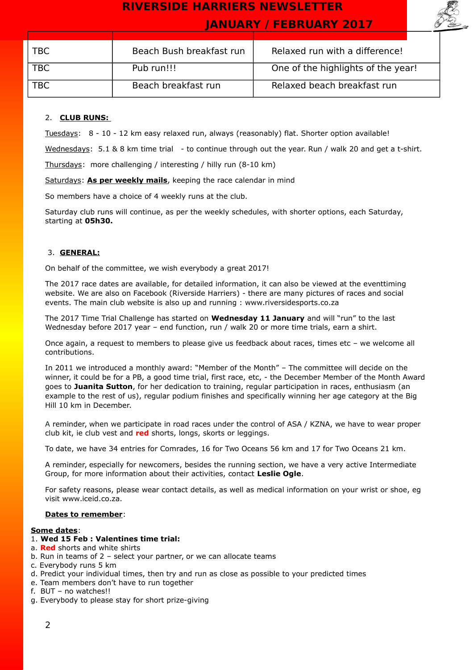

| TBC        | Beach Bush breakfast run | Relaxed run with a difference!     |
|------------|--------------------------|------------------------------------|
| <b>TBC</b> | Pub run!!!               | One of the highlights of the year! |
|            |                          |                                    |
| TBC        | Beach breakfast run      | Relaxed beach breakfast run        |

## 2. **CLUB RUNS:**

Tuesdays: 8 - 10 - 12 km easy relaxed run, always (reasonably) flat. Shorter option available!

Wednesdays: 5.1 & 8 km time trial - to continue through out the year. Run / walk 20 and get a t-shirt.

Thursdays: more challenging / interesting / hilly run (8-10 km)

Saturdays: **As per weekly mails**, keeping the race calendar in mind

So members have a choice of 4 weekly runs at the club.

Saturday club runs will continue, as per the weekly schedules, with shorter options, each Saturday, starting at **05h30.**

### 3. **GENERAL:**

On behalf of the committee, we wish everybody a great 2017!

The 2017 race dates are available, for detailed information, it can also be viewed at the eventtiming website. We are also on Facebook (Riverside Harriers) - there are many pictures of races and social events. The main club website is also up and running : www.riversidesports.co.za

The 2017 Time Trial Challenge has started on **Wednesday 11 January** and will "run" to the last Wednesday before 2017 year – end function, run / walk 20 or more time trials, earn a shirt.

Once again, a request to members to please give us feedback about races, times etc – we welcome all contributions.

In 2011 we introduced a monthly award: "Member of the Month" – The committee will decide on the winner, it could be for a PB, a good time trial, first race, etc, - the December Member of the Month Award goes to **Juanita Sutton**, for her dedication to training, regular participation in races, enthusiasm (an example to the rest of us), regular podium finishes and specifically winning her age category at the Big Hill 10 km in December.

A reminder, when we participate in road races under the control of ASA / KZNA, we have to wear proper club kit, ie club vest and **red** shorts, longs, skorts or leggings.

To date, we have 34 entries for Comrades, 16 for Two Oceans 56 km and 17 for Two Oceans 21 km.

A reminder, especially for newcomers, besides the running section, we have a very active Intermediate Group, for more information about their activities, contact **Leslie Ogle**.

For safety reasons, please wear contact details, as well as medical information on your wrist or shoe, eg visit www.iceid.co.za.

#### **Dates to remember**:

#### **Some dates**:

### 1. **Wed 15 Feb : Valentines time trial:**

- a. **Red** shorts and white shirts
- b. Run in teams of 2 select your partner, or we can allocate teams
- c. Everybody runs 5 km
- d. Predict your individual times, then try and run as close as possible to your predicted times
- e. Team members don't have to run together
- f. BUT no watches!!
- g. Everybody to please stay for short prize-giving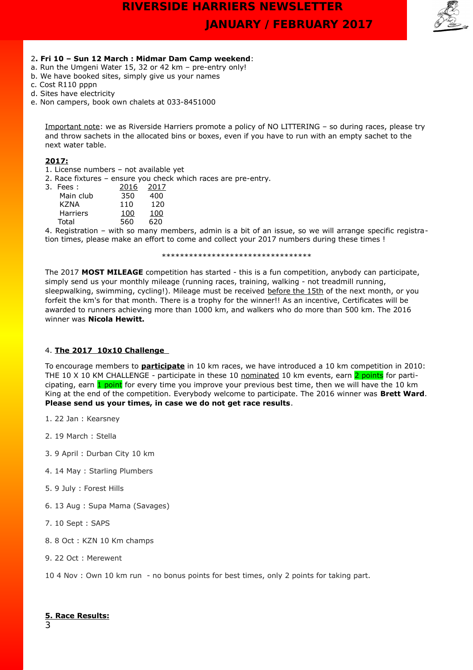

### 2**. Fri 10 – Sun 12 March : Midmar Dam Camp weekend**:

- a. Run the Umgeni Water 15, 32 or 42 km pre-entry only!
- b. We have booked sites, simply give us your names
- c. Cost R110 pppn
- d. Sites have electricity
- e. Non campers, book own chalets at 033-8451000

Important note: we as Riverside Harriers promote a policy of NO LITTERING – so during races, please try and throw sachets in the allocated bins or boxes, even if you have to run with an empty sachet to the next water table.

### **2017:**

1. License numbers – not available yet

2. Race fixtures – ensure you check which races are pre-entry.

| 3. Fees :       | 2016 | 2017 |
|-----------------|------|------|
| Main club       | 350  | 400  |
| KZNA            | 110  | 120  |
| <b>Harriers</b> | 100  | 100  |
| Total           | 560  | 620  |

4. Registration – with so many members, admin is a bit of an issue, so we will arrange specific registration times, please make an effort to come and collect your 2017 numbers during these times !

\*\*\*\*\*\*\*\*\*\*\*\*\*\*\*\*\*\*\*\*\*\*\*\*\*\*\*\*\*\*\*\*\*

The 2017 **MOST MILEAGE** competition has started - this is a fun competition, anybody can participate, simply send us your monthly mileage (running races, training, walking - not treadmill running, sleepwalking, swimming, cycling!). Mileage must be received before the 15th of the next month, or you forfeit the km's for that month. There is a trophy for the winner!! As an incentive, Certificates will be awarded to runners achieving more than 1000 km, and walkers who do more than 500 km. The 2016 winner was **Nicola Hewitt.**

### 4. **The 2017 10x10 Challenge**

To encourage members to **participate** in 10 km races, we have introduced a 10 km competition in 2010: THE 10 X 10 KM CHALLENGE - participate in these 10 nominated 10 km events, earn 2 points for participating, earn 1 point for every time you improve your previous best time, then we will have the 10 km King at the end of the competition. Everybody welcome to participate. The 2016 winner was **Brett Ward**. **Please send us your times, in case we do not get race results**.

- 1. 22 Jan : Kearsney
- 2. 19 March : Stella
- 3. 9 April : Durban City 10 km
- 4. 14 May : Starling Plumbers
- 5. 9 July : Forest Hills
- 6. 13 Aug : Supa Mama (Savages)
- 7. 10 Sept : SAPS
- 8. 8 Oct : KZN 10 Km champs
- 9. 22 Oct : Merewent
- 10 4 Nov : Own 10 km run no bonus points for best times, only 2 points for taking part.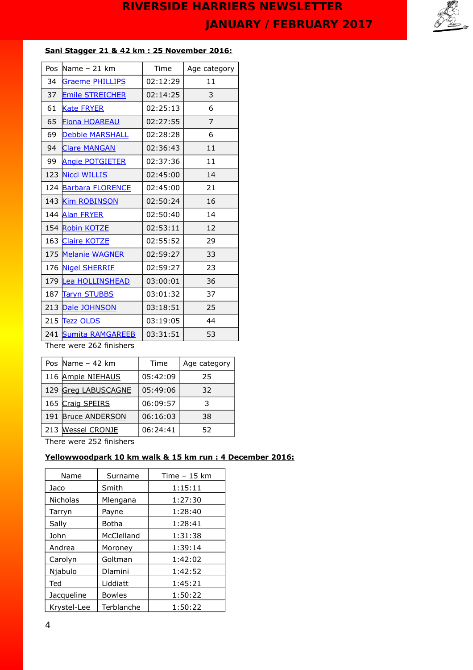

## **Sani Stagger 21 & 42 km : 25 November 2016:**

| Pos | Name $-21$ km           | Time     | Age category |
|-----|-------------------------|----------|--------------|
| 34  | <b>Graeme PHILLIPS</b>  | 02:12:29 | 11           |
| 37  | Emile STREICHER         | 02:14:25 | 3            |
| 61  | <b>Kate FRYER</b>       | 02:25:13 | 6            |
| 65  | <b>Fiona HOAREAU</b>    | 02:27:55 | 7            |
| 69  | <b>Debbie MARSHALL</b>  | 02:28:28 | 6            |
| 94  | <b>Clare MANGAN</b>     | 02:36:43 | 11           |
| 99  | <b>Angie POTGIETER</b>  | 02:37:36 | 11           |
| 123 | <b>Nicci WILLIS</b>     | 02:45:00 | 14           |
| 124 | <b>Barbara FLORENCE</b> | 02:45:00 | 21           |
|     | 143 Kim ROBINSON        | 02:50:24 | 16           |
|     | 144 Alan FRYER          | 02:50:40 | 14           |
|     | 154 Robin KOTZE         | 02:53:11 | 12           |
|     | 163 Claire KOTZE        | 02:55:52 | 29           |
|     | 175 Melanie WAGNER      | 02:59:27 | 33           |
|     | 176 Nigel SHERRIF       | 02:59:27 | 23           |
|     | 179 Lea HOLLINSHEAD     | 03:00:01 | 36           |
| 187 | <b>Taryn STUBBS</b>     | 03:01:32 | 37           |
|     | 213 Dale JOHNSON        | 03:18:51 | 25           |
|     | 215 Tezz OLDS           | 03:19:05 | 44           |
|     | 241 Sumita RAMGAREEB    | 03:31:51 | 53           |

There were 262 finishers

| Pos Name $-42$ km   | Time     | Age category |
|---------------------|----------|--------------|
| 116 Ampie NIEHAUS   | 05:42:09 | 25           |
| 129 Greg LABUSCAGNE | 05:49:06 | 32           |
| 165 Craig SPEIRS    | 06:09:57 | 3            |
| 191 Bruce ANDERSON  | 06:16:03 | 38           |
| 213 Wessel CRONJE   | 06:24:41 | 52           |
|                     |          |              |

There were 252 finishers

## **Yellowwoodpark 10 km walk & 15 km run : 4 December 2016:**

| Name            | Surname        | Time $-15$ km |
|-----------------|----------------|---------------|
| Jaco            | Smith          | 1:15:11       |
| <b>Nicholas</b> | Mlengana       | 1:27:30       |
| Tarryn          | Payne          | 1:28:40       |
| Sally           | Botha          | 1:28:41       |
| John            | McClelland     | 1:31:38       |
| Andrea          | Moroney        | 1:39:14       |
| Carolyn         | Goltman        | 1:42:02       |
| Njabulo         | <b>Dlamini</b> | 1:42:52       |
| Ted             | Liddiatt       | 1:45:21       |
| Jacqueline      | <b>Bowles</b>  | 1:50:22       |
| Krystel-Lee     | Terblanche     | 1:50:22       |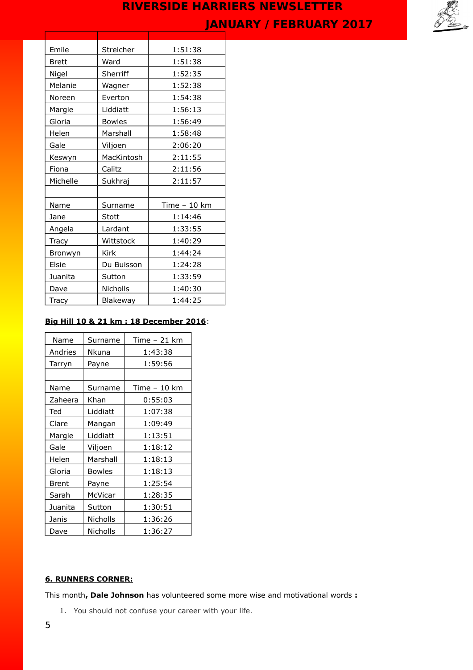

| Streicher     | 1:51:38       |
|---------------|---------------|
| Ward          | 1:51:38       |
| Sherriff      | 1:52:35       |
| Wagner        | 1:52:38       |
| Everton       | 1:54:38       |
| Liddiatt      | 1:56:13       |
| <b>Bowles</b> | 1:56:49       |
| Marshall      | 1:58:48       |
| Viljoen       | 2:06:20       |
| MacKintosh    | 2:11:55       |
| Calitz        | 2:11:56       |
| Sukhraj       | 2:11:57       |
|               |               |
| Surname       | Time $-10$ km |
| <b>Stott</b>  | 1:14:46       |
| Lardant       | 1:33:55       |
| Wittstock     | 1:40:29       |
| <b>Kirk</b>   | 1:44:24       |
| Du Buisson    | 1:24:28       |
| Sutton        | 1:33:59       |
| Nicholls      | 1:40:30       |
| Blakeway      | 1:44:25       |
|               |               |

## **Big Hill 10 & 21 km : 18 December 2016**:

| Name    | Surname         | Time - 21 km  |
|---------|-----------------|---------------|
| Andries | Nkuna           | 1:43:38       |
| Tarryn  | Payne           | 1:59:56       |
|         |                 |               |
| Name    | Surname         | Time $-10$ km |
| Zaheera | Khan            | 0:55:03       |
| Ted     | Liddiatt        | 1:07:38       |
| Clare   | Mangan          | 1:09:49       |
| Margie  | Liddiatt        | 1:13:51       |
| Gale    | Viljoen         | 1:18:12       |
| Helen   | Marshall        | 1:18:13       |
| Gloria  | <b>Bowles</b>   | 1:18:13       |
| Brent   | Payne           | 1:25:54       |
| Sarah   | McVicar         | 1:28:35       |
| Juanita | Sutton          | 1:30:51       |
| Janis   | <b>Nicholls</b> | 1:36:26       |
| Dave    | <b>Nicholls</b> | 1:36:27       |

## **6. RUNNERS CORNER:**

This month**, Dale Johnson** has volunteered some more wise and motivational words **:** 

1. You should not confuse your career with your life.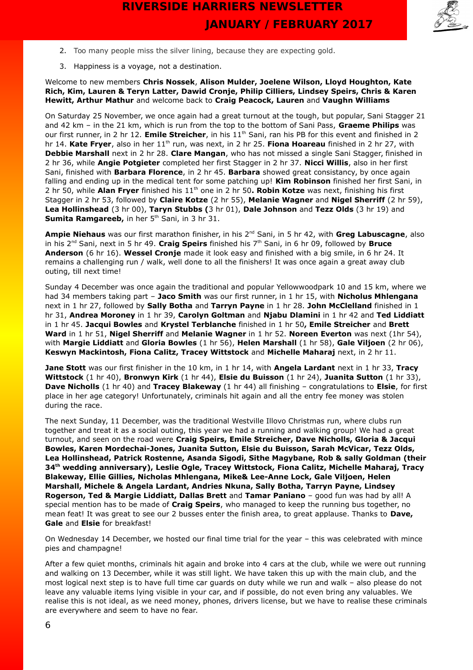

- 2. Too many people miss the silver lining, because they are expecting gold.
- 3. Happiness is a voyage, not a destination.

Welcome to new members **Chris Nossek**, **Alison Mulder, Joelene Wilson, Lloyd Houghton, Kate Rich, Kim, Lauren & Teryn Latter, Dawid Cronje, Philip Cilliers, Lindsey Speirs, Chris & Karen Hewitt, Arthur Mathur** and welcome back to **Craig Peacock, Lauren** and **Vaughn Williams**

On Saturday 25 November, we once again had a great turnout at the tough, but popular, Sani Stagger 21 and 42 km – in the 21 km, which is run from the top to the bottom of Sani Pass, **Graeme Philips** was our first runner, in 2 hr 12. **Emile Streicher**, in his 11<sup>th</sup> Sani, ran his PB for this event and finished in 2 hr 14. **Kate Fryer**, also in her 11th run, was next, in 2 hr 25. **Fiona Hoareau** finished in 2 hr 27, with **Debbie Marshall** next in 2 hr 28. **Clare Mangan**, who has not missed a single Sani Stagger, finished in 2 hr 36, while **Angie Potgieter** completed her first Stagger in 2 hr 37. **Nicci Willis**, also in her first Sani, finished with **Barbara Florence**, in 2 hr 45. **Barbara** showed great consistancy, by once again falling and ending up in the medical tent for some patching up! **Kim Robinson** finished her first Sani, in 2 hr 50, while **Alan Fryer** finished his 11th one in 2 hr 50**. Robin Kotze** was next, finishing his first Stagger in 2 hr 53, followed by **Claire Kotze** (2 hr 55), **Melanie Wagner** and **Nigel Sherriff** (2 hr 59), **Lea Hollinshead** (3 hr 00), **Taryn Stubbs (**3 hr 01), **Dale Johnson** and **Tezz Olds** (3 hr 19) and **Sumita Ramgareeb,** in her 5<sup>th</sup> Sani, in 3 hr 31.

**Ampie Niehaus** was our first marathon finisher, in his 2nd Sani, in 5 hr 42, with **Greg Labuscagne**, also in his 2nd Sani, next in 5 hr 49. **Craig Speirs** finished his 7th Sani, in 6 hr 09, followed by **Bruce Anderson** (6 hr 16). **Wessel Cronje** made it look easy and finished with a big smile, in 6 hr 24. It remains a challenging run / walk, well done to all the finishers! It was once again a great away club outing, till next time!

Sunday 4 December was once again the traditional and popular Yellowwoodpark 10 and 15 km, where we had 34 members taking part – **Jaco Smith** was our first runner, in 1 hr 15, with **Nicholus Mhlengana** next in 1 hr 27, followed by **Sally Botha** and **Tarryn Payne** in 1 hr 28. **John McClelland** finished in 1 hr 31, **Andrea Moroney** in 1 hr 39, **Carolyn Goltman** and **Njabu Dlamini** in 1 hr 42 and **Ted Liddiatt** in 1 hr 45. **Jacqui Bowles** and **Krystel Terblanche** finished in 1 hr 50**, Emile Streicher** and **Brett Ward** in 1 hr 51, **Nigel Sherriff** and **Melanie Wagner** in 1 hr 52. **Noreen Everton** was next (1hr 54), with **Margie Liddiatt** and **Gloria Bowles** (1 hr 56), **Helen Marshall** (1 hr 58), **Gale Viljoen** (2 hr 06), **Keswyn Mackintosh, Fiona Calitz, Tracey Wittstock** and **Michelle Maharaj** next, in 2 hr 11.

**Jane Stott** was our first finisher in the 10 km, in 1 hr 14, with **Angela Lardant** next in 1 hr 33, **Tracy Wittstock** (1 hr 40), **Bronwyn Kirk** (1 hr 44), **Elsie du Buisson** (1 hr 24), **Juanita Sutton** (1 hr 33), **Dave Nicholls** (1 hr 40) and **Tracey Blakeway** (1 hr 44) all finishing – congratulations to **Elsie**, for first place in her age category! Unfortunately, criminals hit again and all the entry fee money was stolen during the race.

The next Sunday, 11 December, was the traditional Westville Illovo Christmas run, where clubs run together and treat it as a social outing, this year we had a running and walking group! We had a great turnout, and seen on the road were **Craig Speirs, Emile Streicher, Dave Nicholls, Gloria & Jacqui Bowles, Karen Mordechai-Jones, Juanita Sutton, Elsie du Buisson, Sarah McVicar, Tezz Olds, Lea Hollinshead, Patrick Rostenne, Asanda Sigodi, Sithe Magybane, Rob & sally Goldman (their 34th wedding anniversary), Leslie Ogle, Tracey Wittstock, Fiona Calitz, Michelle Maharaj, Tracy Blakeway, Ellie Gillies, Nicholas Mhlengana, Mike& Lee-Anne Lock, Gale Viljoen, Helen Marshall, Michele & Angela Lardant, Andries Nkuna, Sally Botha, Tarryn Payne, Lindsey Rogerson, Ted & Margie Liddiatt, Dallas Brett** and **Tamar Paniano** – good fun was had by all! A special mention has to be made of **Craig Speirs**, who managed to keep the running bus together, no mean feat! It was great to see our 2 busses enter the finish area, to great applause. Thanks to **Dave, Gale** and **Elsie** for breakfast!

On Wednesday 14 December, we hosted our final time trial for the year – this was celebrated with mince pies and champagne!

After a few quiet months, criminals hit again and broke into 4 cars at the club, while we were out running and walking on 13 December, while it was still light. We have taken this up with the main club, and the most logical next step is to have full time car guards on duty while we run and walk – also please do not leave any valuable items lying visible in your car, and if possible, do not even bring any valuables. We realise this is not ideal, as we need money, phones, drivers license, but we have to realise these criminals are everywhere and seem to have no fear.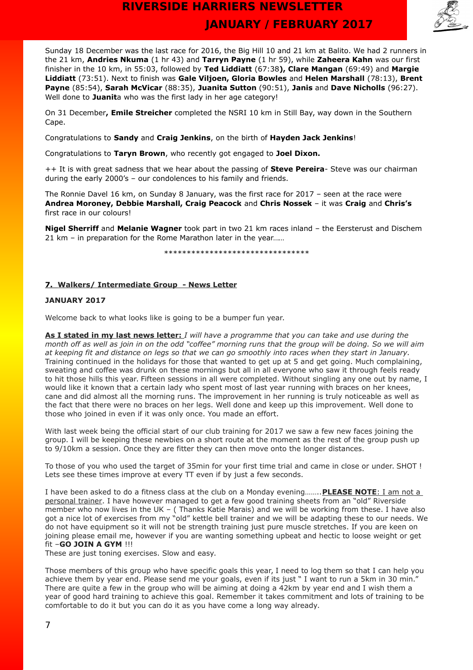

Sunday 18 December was the last race for 2016, the Big Hill 10 and 21 km at Balito. We had 2 runners in the 21 km, **Andries Nkuma** (1 hr 43) and **Tarryn Payne** (1 hr 59), while **Zaheera Kahn** was our first finisher in the 10 km, in 55:03, followed by **Ted Liddiatt** (67:38**), Clare Mangan** (69:49) and **Margie Liddiatt** (73:51). Next to finish was **Gale Viljoen, Gloria Bowles** and **Helen Marshall** (78:13), **Brent Payne** (85:54), **Sarah McVicar** (88:35), **Juanita Sutton** (90:51), **Janis** and **Dave Nicholls** (96:27). Well done to **Juanit**a who was the first lady in her age category!

On 31 December**, Emile Streicher** completed the NSRI 10 km in Still Bay, way down in the Southern Cape.

Congratulations to **Sandy** and **Craig Jenkins**, on the birth of **Hayden Jack Jenkins**!

Congratulations to **Taryn Brown**, who recently got engaged to **Joel Dixon.**

++ It is with great sadness that we hear about the passing of **Steve Pereira**- Steve was our chairman during the early 2000's – our condolences to his family and friends.

The Ronnie Davel 16 km, on Sunday 8 January, was the first race for 2017 – seen at the race were **Andrea Moroney, Debbie Marshall, Craig Peacock** and **Chris Nossek** – it was **Craig** and **Chris's** first race in our colours!

**Nigel Sherriff** and **Melanie Wagner** took part in two 21 km races inland – the Eersterust and Dischem 21 km – in preparation for the Rome Marathon later in the year……

\*\*\*\*\*\*\*\*\*\*\*\*\*\*\*\*\*\*\*\*\*\*\*\*\*\*\*\*\*\*\*\*

### **7. Walkers/ Intermediate Group - News Letter**

### **JANUARY 2017**

Welcome back to what looks like is going to be a bumper fun year.

 **As I stated in my last news letter:** *I will have a programme that you can take and use during the month off as well as join in on the odd "coffee" morning runs that the group will be doing. So we will aim at keeping fit and distance on legs so that we can go smoothly into races when they start in January.* Training continued in the holidays for those that wanted to get up at 5 and get going. Much complaining, sweating and coffee was drunk on these mornings but all in all everyone who saw it through feels ready to hit those hills this year. Fifteen sessions in all were completed. Without singling any one out by name, I would like it known that a certain lady who spent most of last year running with braces on her knees, cane and did almost all the morning runs. The improvement in her running is truly noticeable as well as the fact that there were no braces on her legs. Well done and keep up this improvement. Well done to those who joined in even if it was only once. You made an effort.

With last week being the official start of our club training for 2017 we saw a few new faces joining the group. I will be keeping these newbies on a short route at the moment as the rest of the group push up to 9/10km a session. Once they are fitter they can then move onto the longer distances.

To those of you who used the target of 35min for your first time trial and came in close or under. SHOT ! Lets see these times improve at every TT even if by just a few seconds.

I have been asked to do a fitness class at the club on a Monday evening…….. **PLEASE NOTE**: I am not a personal trainer. I have however managed to get a few good training sheets from an "old" Riverside member who now lives in the UK – ( Thanks Katie Marais) and we will be working from these. I have also got a nice lot of exercises from my "old" kettle bell trainer and we will be adapting these to our needs. We do not have equipment so it will not be strength training just pure muscle stretches. If you are keen on joining please email me, however if you are wanting something upbeat and hectic to loose weight or get fit –**GO JOIN A GYM** !!!

These are just toning exercises. Slow and easy.

Those members of this group who have specific goals this year, I need to log them so that I can help you achieve them by year end. Please send me your goals, even if its just " I want to run a 5km in 30 min." There are quite a few in the group who will be aiming at doing a 42km by year end and I wish them a year of good hard training to achieve this goal. Remember it takes commitment and lots of training to be comfortable to do it but you can do it as you have come a long way already.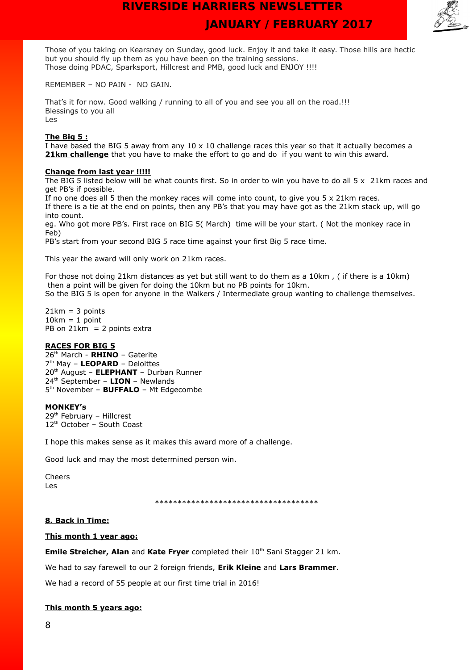

Those of you taking on Kearsney on Sunday, good luck. Enjoy it and take it easy. Those hills are hectic but you should fly up them as you have been on the training sessions. Those doing PDAC, Sparksport, Hillcrest and PMB, good luck and ENJOY !!!!

REMEMBER – NO PAIN - NO GAIN.

That's it for now. Good walking / running to all of you and see you all on the road.!!! Blessings to you all Les

#### **The Big 5 :**

I have based the BIG 5 away from any  $10 \times 10$  challenge races this year so that it actually becomes a **21km challenge** that you have to make the effort to go and do if you want to win this award.

#### **Change from last year !!!!!**

The BIG 5 listed below will be what counts first. So in order to win you have to do all 5 x 21km races and get PB's if possible.

If no one does all 5 then the monkey races will come into count, to give you 5 x 21km races. If there is a tie at the end on points, then any PB's that you may have got as the 21km stack up, will go into count.

eg. Who got more PB's. First race on BIG 5( March) time will be your start. ( Not the monkey race in Feb)

PB's start from your second BIG 5 race time against your first Big 5 race time.

This year the award will only work on 21km races.

For those not doing 21km distances as yet but still want to do them as a 10km , ( if there is a 10km) then a point will be given for doing the 10km but no PB points for 10km. So the BIG 5 is open for anyone in the Walkers / Intermediate group wanting to challenge themselves.

 $21km = 3$  points  $10km = 1$  point PB on  $21km = 2$  points extra

#### **RACES FOR BIG 5**

th March - **RHINO** – Gaterite th May – **LEOPARD** – Deloittes th August – **ELEPHANT** – Durban Runner th September – **LION** – Newlands 5<sup>th</sup> November - **BUFFALO** - Mt Edgecombe

#### **MONKEY's**

29th February – Hillcrest 12<sup>th</sup> October - South Coast

I hope this makes sense as it makes this award more of a challenge.

Good luck and may the most determined person win.

Cheers Les

\*\*\*\*\*\*\*\*\*\*\*\*\*\*\*\*\*\*\*\*\*\*\*\*\*\*\*\*\*\*\*\*\*\*\*\*

### **8. Back in Time:**

#### **This month 1 year ago:**

**Emile Streicher, Alan and Kate Fryer** completed their 10<sup>th</sup> Sani Stagger 21 km.

We had to say farewell to our 2 foreign friends, **Erik Kleine** and **Lars Brammer**.

We had a record of 55 people at our first time trial in 2016!

### **This month 5 years ago:**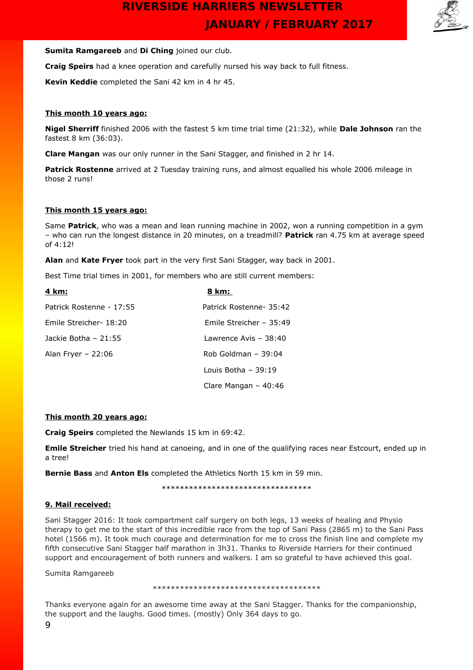

### **Sumita Ramgareeb** and **Di Ching** joined our club.

**Craig Speirs** had a knee operation and carefully nursed his way back to full fitness.

**Kevin Keddie** completed the Sani 42 km in 4 hr 45.

### **This month 10 years ago:**

**Nigel Sherriff** finished 2006 with the fastest 5 km time trial time (21:32), while **Dale Johnson** ran the fastest 8 km (36:03).

**Clare Mangan** was our only runner in the Sani Stagger, and finished in 2 hr 14.

**Patrick Rostenne** arrived at 2 Tuesday training runs, and almost equalled his whole 2006 mileage in those 2 runs!

### **This month 15 years ago:**

Same **Patrick**, who was a mean and lean running machine in 2002, won a running competition in a gym – who can run the longest distance in 20 minutes, on a treadmill? **Patrick** ran 4.75 km at average speed of 4:12!

**Alan** and **Kate Fryer** took part in the very first Sani Stagger, way back in 2001.

Best Time trial times in 2001, for members who are still current members:

| 4 km:                    | 8 km:                   |
|--------------------------|-------------------------|
| Patrick Rostenne - 17:55 | Patrick Rostenne- 35:42 |
| Emile Streicher- 18:20   | Emile Streicher - 35:49 |
| Jackie Botha - 21:55     | Lawrence Avis - 38:40   |
| Alan Fryer $-22:06$      | Rob Goldman $-39:04$    |
|                          | Louis Botha $-39:19$    |
|                          | Clare Mangan $-40:46$   |

### **This month 20 years ago:**

**Craig Speirs** completed the Newlands 15 km in 69:42.

**Emile Streicher** tried his hand at canoeing, and in one of the qualifying races near Estcourt, ended up in a tree!

**Bernie Bass** and **Anton Els** completed the Athletics North 15 km in 59 min.

\*\*\*\*\*\*\*\*\*\*\*\*\*\*\*\*\*\*\*\*\*\*\*\*\*\*\*\*\*\*\*\*\*

### **9. Mail received:**

Sani Stagger 2016: It took compartment calf surgery on both legs, 13 weeks of healing and Physio therapy to get me to the start of this incredible race from the top of Sani Pass (2865 m) to the Sani Pass hotel (1566 m). It took much courage and determination for me to cross the finish line and complete my fifth consecutive Sani Stagger half marathon in 3h31. Thanks to Riverside Harriers for their continued support and encouragement of both runners and walkers. I am so grateful to have achieved this goal.

Sumita Ramgareeb

\*\*\*\*\*\*\*\*\*\*\*\*\*\*\*\*\*\*\*\*\*\*\*\*\*\*\*\*\*\*\*\*\*\*\*\*\*

Thanks everyone again for an awesome time away at the Sani Stagger. Thanks for the companionship, the support and the laughs. Good times. (mostly) Only 364 days to go.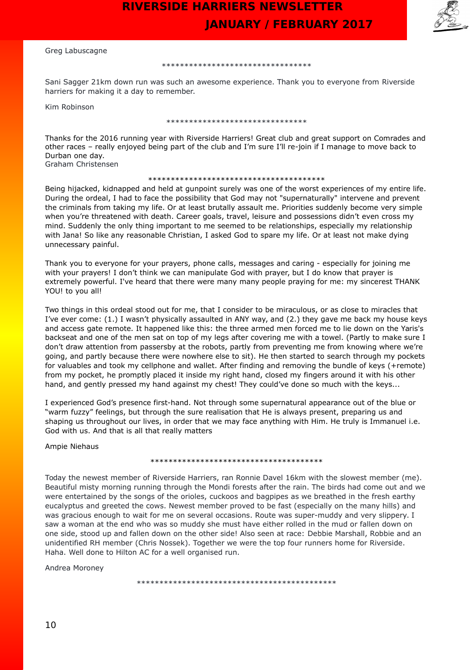



#### Greg Labuscagne

#### \*\*\*\*\*\*\*\*\*\*\*\*\*\*\*\*\*\*\*\*\*\*\*\*\*\*\*\*\*\*\*\*\*

Sani Sagger 21km down run was such an awesome experience. Thank you to everyone from Riverside harriers for making it a day to remember.

Kim Robinson

#### \*\*\*\*\*\*\*\*\*\*\*\*\*\*\*\*\*\*\*\*\*\*\*\*\*\*\*\*\*\*\*

Thanks for the 2016 running year with Riverside Harriers! Great club and great support on Comrades and other races – really enjoyed being part of the club and I'm sure I'll re-join if I manage to move back to Durban one day. Graham Christensen

#### \*\*\*\*\*\*\*\*\*\*\*\*\*\*\*\*\*\*\*\*\*\*\*\*\*\*\*\*\*\*\*\*\*\*\*\*\*\*\*

Being hijacked, kidnapped and held at gunpoint surely was one of the worst experiences of my entire life. During the ordeal, I had to face the possibility that God may not "supernaturally" intervene and prevent the criminals from taking my life. Or at least brutally assault me. Priorities suddenly become very simple when you're threatened with death. Career goals, travel, leisure and possessions didn't even cross my mind. Suddenly the only thing important to me seemed to be relationships, especially my relationship with Jana! So like any reasonable Christian, I asked God to spare my life. Or at least not make dying unnecessary painful.

Thank you to everyone for your prayers, phone calls, messages and caring - especially for joining me with your prayers! I don't think we can manipulate God with prayer, but I do know that prayer is extremely powerful. I've heard that there were many many people praying for me: my sincerest THANK YOU! to you all!

Two things in this ordeal stood out for me, that I consider to be miraculous, or as close to miracles that I've ever come: (1.) I wasn't physically assaulted in ANY way, and (2.) they gave me back my house keys and access gate remote. It happened like this: the three armed men forced me to lie down on the Yaris's backseat and one of the men sat on top of my legs after covering me with a towel. (Partly to make sure I don't draw attention from passersby at the robots, partly from preventing me from knowing where we're going, and partly because there were nowhere else to sit). He then started to search through my pockets for valuables and took my cellphone and wallet. After finding and removing the bundle of keys (+remote) from my pocket, he promptly placed it inside my right hand, closed my fingers around it with his other hand, and gently pressed my hand against my chest! They could've done so much with the keys...

I experienced God's presence first-hand. Not through some supernatural appearance out of the blue or "warm fuzzy" feelings, but through the sure realisation that He is always present, preparing us and shaping us throughout our lives, in order that we may face anything with Him. He truly is Immanuel i.e. God with us. And that is all that really matters

Ampie Niehaus

#### \*\*\*\*\*\*\*\*\*\*\*\*\*\*\*\*\*\*\*\*\*\*\*\*\*\*\*\*\*\*\*\*\*\*\*\*\*\*

Today the newest member of Riverside Harriers, ran Ronnie Davel 16km with the slowest member (me). Beautiful misty morning running through the Mondi forests after the rain. The birds had come out and we were entertained by the songs of the orioles, cuckoos and bagpipes as we breathed in the fresh earthy eucalyptus and greeted the cows. Newest member proved to be fast (especially on the many hills) and was gracious enough to wait for me on several occasions. Route was super-muddy and very slippery. I saw a woman at the end who was so muddy she must have either rolled in the mud or fallen down on one side, stood up and fallen down on the other side! Also seen at race: Debbie Marshall, Robbie and an unidentified RH member (Chris Nossek). Together we were the top four runners home for Riverside. Haha. Well done to Hilton AC for a well organised run.

Andrea Moroney

\*\*\*\*\*\*\*\*\*\*\*\*\*\*\*\*\*\*\*\*\*\*\*\*\*\*\*\*\*\*\*\*\*\*\*\*\*\*\*\*\*\*\*\*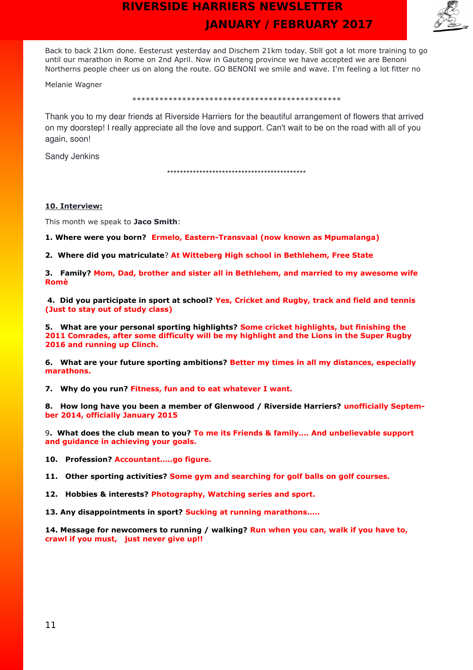

Back to back 21km done. Eesterust yesterday and Dischem 21km today. Still got a lot more training to go until our marathon in Rome on 2nd April. Now in Gauteng province we have accepted we are Benoni Northerns people cheer us on along the route. GO BENONI we smile and wave. I'm feeling a lot fitter no

Melanie Wagner

\*\*\*\*\*\*\*\*\*\*\*\*\*\*\*\*\*\*\*\*\*\*\*\*\*\*\*\*\*\*\*\*\*\*\*\*\*\*\*\*\*\*\*\*\*\*

Thank you to my dear friends at Riverside Harriers for the beautiful arrangement of flowers that arrived on my doorstep! I really appreciate all the love and support. Can't wait to be on the road with all of you again, soon!

Sandy Jenkins

\*\*\*\*\*\*\*\*\*\*\*\*\*\*\*\*\*\*\*\*\*\*\*\*\*\*\*\*\*\*\*\*\*\*\*\*\*\*\*\*\*\*\*

#### **10. Interview:**

This month we speak to **Jaco Smith**:

**1. Where were you born? Ermelo, Eastern-Transvaal (now known as Mpumalanga)**

**2. Where did you matriculate**? **At Witteberg High school in Bethlehem, Free State**

**3. Family? Mom, Dad, brother and sister all in Bethlehem, and married to my awesome wife Romè**

**4. Did you participate in sport at school? Yes, Cricket and Rugby, track and field and tennis (Just to stay out of study class)**

**5. What are your personal sporting highlights? Some cricket highlights, but finishing the 2011 Comrades, after some difficulty will be my highlight and the Lions in the Super Rugby 2016 and running up Clinch.**

**6. What are your future sporting ambitions? Better my times in all my distances, especially marathons.**

**7. Why do you run? Fitness, fun and to eat whatever I want.**

**8. How long have you been a member of Glenwood / Riverside Harriers? unofficially September 2014, officially January 2015**

9**. What does the club mean to you? To me its Friends & family…. And unbelievable support and guidance in achieving your goals.**

**10. Profession? Accountant…..go figure.**

**11. Other sporting activities? Some gym and searching for golf balls on golf courses.**

**12. Hobbies & interests? Photography, Watching series and sport.**

**13. Any disappointments in sport? Sucking at running marathons…..**

**14. Message for newcomers to running / walking? Run when you can, walk if you have to, crawl if you must, just never give up!!**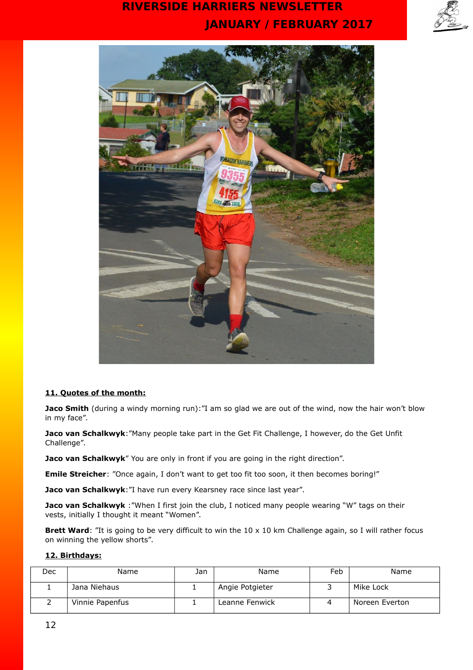



## **11. Quotes of the month:**

**Jaco Smith** (during a windy morning run):"I am so glad we are out of the wind, now the hair won't blow in my face".

**Jaco van Schalkwyk:**"Many people take part in the Get Fit Challenge, I however, do the Get Unfit Challenge".

**Jaco van Schalkwyk**" You are only in front if you are going in the right direction".

**Emile Streicher**: "Once again, I don't want to get too fit too soon, it then becomes boring!"

Jaco van Schalkwyk:"I have run every Kearsney race since last year".

**Jaco van Schalkwyk** : "When I first join the club, I noticed many people wearing "W" tags on their vests, initially I thought it meant "Women".

**Brett Ward**: "It is going to be very difficult to win the 10 x 10 km Challenge again, so I will rather focus on winning the yellow shorts".

### **12. Birthdays:**

| Dec | Name            | Jan | Name            | Feb | Name           |
|-----|-----------------|-----|-----------------|-----|----------------|
|     | Jana Niehaus    |     | Angie Potgieter |     | Mike Lock      |
|     | Vinnie Papenfus |     | Leanne Fenwick  |     | Noreen Everton |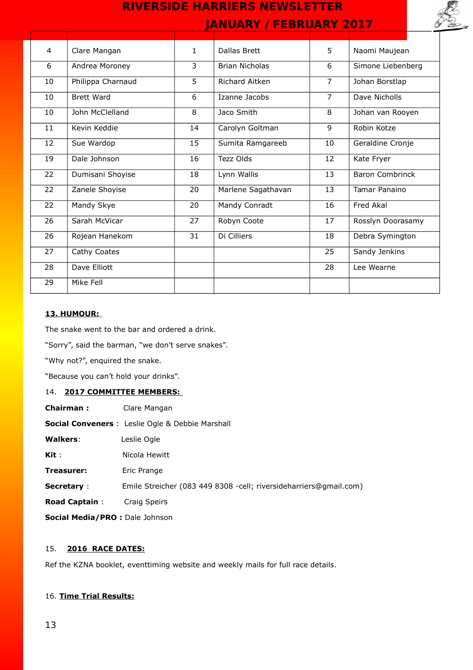

| 4  | Clare Mangan      | $\mathbf{1}$ | Dallas Brett          | 5              | Naomi Maujean          |
|----|-------------------|--------------|-----------------------|----------------|------------------------|
| 6  | Andrea Moroney    | 3            | <b>Brian Nicholas</b> | 6              | Simone Liebenberg      |
| 10 | Philippa Charnaud | 5            | Richard Aitken        | $\overline{7}$ | Johan Borstlap         |
| 10 | <b>Brett Ward</b> | 6            | Izanne Jacobs         | $\overline{7}$ | Dave Nicholls          |
| 10 | John McClelland   | 8            | Jaco Smith            | 8              | Johan van Rooyen       |
| 11 | Kevin Keddie      | 14           | Carolyn Goltman       | $\mathsf{q}$   | Robin Kotze            |
| 12 | Sue Wardop        | 15           | Sumita Ramgareeb      | 10             | Geraldine Cronje       |
| 19 | Dale Johnson      | 16           | Tezz Olds             | 12             | Kate Fryer             |
| 22 | Dumisani Shoyise  | 18           | Lynn Wallis           | 13             | <b>Baron Combrinck</b> |
| 22 | Zanele Shoyise    | 20           | Marlene Sagathavan    | 13             | Tamar Panaino          |
| 22 | Mandy Skye        | 20           | Mandy Conradt         | 16             | Fred Akal              |
| 26 | Sarah McVicar     | 27           | Robyn Coote           | 17             | Rosslyn Doorasamy      |
| 26 | Rojean Hanekom    | 31           | Di Cilliers           | 18             | Debra Symington        |
| 27 | Cathy Coates      |              |                       | 25             | Sandy Jenkins          |
| 28 | Dave Elliott      |              |                       | 28             | Lee Wearne             |
| 29 | Mike Fell         |              |                       |                |                        |

## **13. HUMOUR:**

The snake went to the bar and ordered a drink.

"Sorry", said the barman, "we don't serve snakes".

"Why not?", enquired the snake.

"Because you can't hold your drinks".

## 14. **2017 COMMITTEE MEMBERS:**

| <b>Chairman:</b>                      | Clare Mangan                                                      |
|---------------------------------------|-------------------------------------------------------------------|
|                                       | <b>Social Conveners</b> : Leslie Ogle & Debbie Marshall           |
| <b>Walkers:</b>                       | Leslie Ogle                                                       |
| $\mathsf{Kit}$ :                      | Nicola Hewitt                                                     |
| Treasurer:                            | Eric Prange                                                       |
| <b>Secretary:</b>                     | Emile Streicher (083 449 8308 -cell; riversideharriers@gmail.com) |
| <b>Road Captain:</b>                  | Craig Speirs                                                      |
| <b>Social Media/PRO:</b> Dale Johnson |                                                                   |
|                                       |                                                                   |

## 15. **2016 RACE DATES:**

Ref the KZNA booklet, eventtiming website and weekly mails for full race details.

## 16. **Time Trial Results:**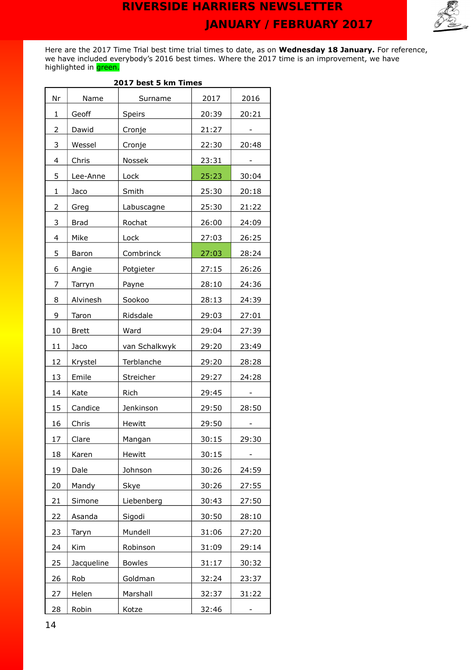

Here are the 2017 Time Trial best time trial times to date, as on **Wednesday 18 January.** For reference, we have included everybody's 2016 best times. Where the 2017 time is an improvement, we have highlighted in <mark>green.</mark>

|    | 2017 Dest 5 km Times |               |       |       |  |  |  |
|----|----------------------|---------------|-------|-------|--|--|--|
| Nr | Name                 | Surname       | 2017  | 2016  |  |  |  |
| 1  | Geoff                | <b>Speirs</b> | 20:39 | 20:21 |  |  |  |
| 2  | Dawid                | Cronje        | 21:27 |       |  |  |  |
| 3  | Wessel               | Cronje        | 22:30 | 20:48 |  |  |  |
| 4  | Chris                | Nossek        | 23:31 |       |  |  |  |
| 5  | Lee-Anne             | Lock          | 25:23 | 30:04 |  |  |  |
| 1  | Jaco                 | Smith         | 25:30 | 20:18 |  |  |  |
| 2  | Greg                 | Labuscagne    | 25:30 | 21:22 |  |  |  |
| 3  | <b>Brad</b>          | Rochat        | 26:00 | 24:09 |  |  |  |
| 4  | Mike                 | Lock          | 27:03 | 26:25 |  |  |  |
| 5  | Baron                | Combrinck     | 27:03 | 28:24 |  |  |  |
| 6  | Angie                | Potgieter     | 27:15 | 26:26 |  |  |  |
| 7  | Tarryn               | Payne         | 28:10 | 24:36 |  |  |  |
| 8  | Alvinesh             | Sookoo        | 28:13 | 24:39 |  |  |  |
| 9  | Taron                | Ridsdale      | 29:03 | 27:01 |  |  |  |
| 10 | <b>Brett</b>         | Ward          | 29:04 | 27:39 |  |  |  |
| 11 | Jaco                 | van Schalkwyk | 29:20 | 23:49 |  |  |  |
| 12 | Krystel              | Terblanche    | 29:20 | 28:28 |  |  |  |
| 13 | Emile                | Streicher     | 29:27 | 24:28 |  |  |  |
| 14 | Kate                 | Rich          | 29:45 |       |  |  |  |
| 15 | Candice              | Jenkinson     | 29:50 | 28:50 |  |  |  |
| 16 | Chris                | Hewitt        | 29:50 |       |  |  |  |
| 17 | Clare                | Mangan        | 30:15 | 29:30 |  |  |  |
| 18 | Karen                | Hewitt        | 30:15 |       |  |  |  |
| 19 | Dale                 | Johnson       | 30:26 | 24:59 |  |  |  |
| 20 | Mandy                | Skye          | 30:26 | 27:55 |  |  |  |
| 21 | Simone               | Liebenberg    | 30:43 | 27:50 |  |  |  |
| 22 | Asanda               | Sigodi        | 30:50 | 28:10 |  |  |  |
| 23 | Taryn                | Mundell       | 31:06 | 27:20 |  |  |  |
| 24 | Kim                  | Robinson      | 31:09 | 29:14 |  |  |  |
| 25 | Jacqueline           | <b>Bowles</b> | 31:17 | 30:32 |  |  |  |
| 26 | Rob                  | Goldman       | 32:24 | 23:37 |  |  |  |
| 27 | Helen                | Marshall      | 32:37 | 31:22 |  |  |  |
| 28 | Robin                | Kotze         | 32:46 |       |  |  |  |

### **2017 best 5 km Times**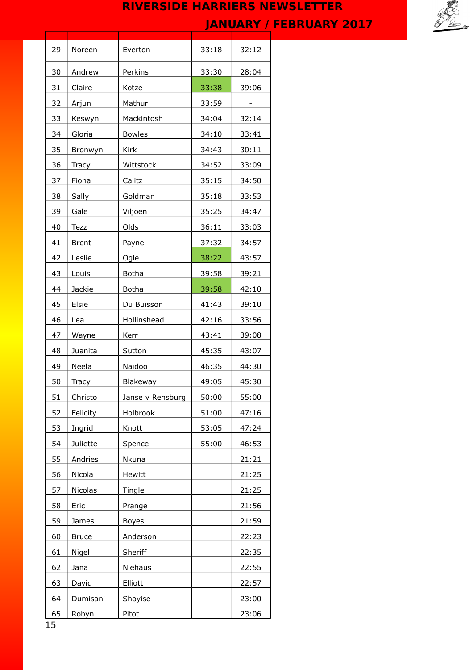

| 29 | Noreen       | Everton          | 33:18 | 32:12 |
|----|--------------|------------------|-------|-------|
| 30 | Andrew       | Perkins          | 33:30 | 28:04 |
| 31 | Claire       | Kotze            | 33:38 | 39:06 |
| 32 | Arjun        | Mathur           | 33:59 |       |
| 33 | Keswyn       | Mackintosh       | 34:04 | 32:14 |
| 34 | Gloria       | <b>Bowles</b>    | 34:10 | 33:41 |
| 35 | Bronwyn      | Kirk             | 34:43 | 30:11 |
| 36 | Tracy        | Wittstock        | 34:52 | 33:09 |
| 37 | Fiona        | Calitz           | 35:15 | 34:50 |
| 38 | Sally        | Goldman          | 35:18 | 33:53 |
| 39 | Gale         | Viljoen          | 35:25 | 34:47 |
| 40 | Tezz         | Olds             | 36:11 | 33:03 |
| 41 | <b>Brent</b> | Payne            | 37:32 | 34:57 |
| 42 | Leslie       | Ogle             | 38:22 | 43:57 |
| 43 | Louis        | <b>Botha</b>     | 39:58 | 39:21 |
| 44 | Jackie       | <b>Botha</b>     | 39:58 | 42:10 |
| 45 | Elsie        | Du Buisson       | 41:43 | 39:10 |
| 46 | Lea          | Hollinshead      | 42:16 | 33:56 |
| 47 | Wayne        | Kerr             | 43:41 | 39:08 |
| 48 | Juanita      | Sutton           | 45:35 | 43:07 |
| 49 | Neela        | Naidoo           | 46:35 | 44:30 |
| 50 | Tracy        | Blakeway         | 49:05 | 45:30 |
| 51 | Christo      | Janse v Rensburg | 50:00 | 55:00 |
| 52 | Felicity     | Holbrook         | 51:00 | 47:16 |
| 53 | Ingrid       | Knott            | 53:05 | 47:24 |
| 54 | Juliette     | Spence           | 55:00 | 46:53 |
| 55 | Andries      | Nkuna            |       | 21:21 |
| 56 | Nicola       | Hewitt           |       | 21:25 |
| 57 | Nicolas      | Tingle           |       | 21:25 |
| 58 | Eric         | Prange           |       | 21:56 |
| 59 | James        | <b>Boyes</b>     |       | 21:59 |
| 60 | <b>Bruce</b> | Anderson         |       | 22:23 |
| 61 | Nigel        | Sheriff          |       | 22:35 |
| 62 | Jana         | Niehaus          |       | 22:55 |
| 63 | David        | Elliott          |       | 22:57 |
| 64 | Dumisani     | Shoyise          |       | 23:00 |
| 65 | Robyn        | Pitot            |       | 23:06 |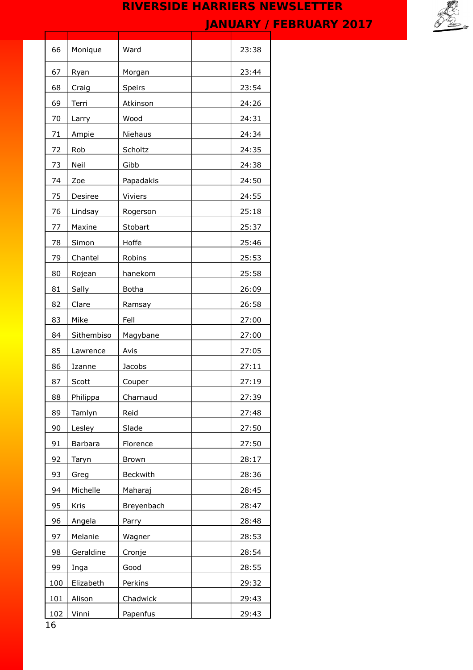

| 66  | Monique    | Ward         | 23:38 |
|-----|------------|--------------|-------|
| 67  | Ryan       | Morgan       | 23:44 |
| 68  | Craig      | Speirs       | 23:54 |
| 69  | Terri      | Atkinson     | 24:26 |
| 70  | Larry      | Wood         | 24:31 |
| 71  | Ampie      | Niehaus      | 24:34 |
| 72  | Rob        | Scholtz      | 24:35 |
| 73  | Neil       | Gibb         | 24:38 |
| 74  | Zoe        | Papadakis    | 24:50 |
| 75  | Desiree    | Viviers      | 24:55 |
| 76  | Lindsay    | Rogerson     | 25:18 |
| 77  | Maxine     | Stobart      | 25:37 |
| 78  | Simon      | Hoffe        | 25:46 |
| 79  | Chantel    | Robins       | 25:53 |
| 80  | Rojean     | hanekom      | 25:58 |
| 81  | Sally      | <b>Botha</b> | 26:09 |
| 82  | Clare      | Ramsay       | 26:58 |
| 83  | Mike       | Fell         | 27:00 |
| 84  | Sithembiso | Magybane     | 27:00 |
| 85  | Lawrence   | Avis         | 27:05 |
| 86  | Izanne     | Jacobs       | 27:11 |
| 87  | Scott      | Couper       | 27:19 |
| 88  | Philippa   | Charnaud     | 27:39 |
| 89  | Tamlyn     | Reid         | 27:48 |
| 90  | Lesley     | Slade        | 27:50 |
| 91  | Barbara    | Florence     | 27:50 |
| 92  | Taryn      | Brown        | 28:17 |
| 93  | Greg       | Beckwith     | 28:36 |
| 94  | Michelle   | Maharaj      | 28:45 |
| 95  | Kris       | Breyenbach   | 28:47 |
| 96  | Angela     | Parry        | 28:48 |
| 97  | Melanie    | Wagner       | 28:53 |
| 98  | Geraldine  | Cronje       | 28:54 |
| 99  | Inga       | Good         | 28:55 |
| 100 | Elizabeth  | Perkins      | 29:32 |
| 101 | Alison     | Chadwick     | 29:43 |
| 102 | Vinni      | Papenfus     | 29:43 |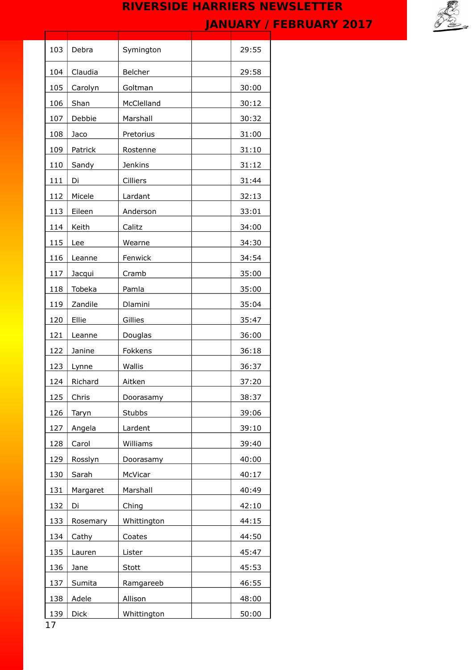

| 103       | Debra       | Symington      | 29:55 |
|-----------|-------------|----------------|-------|
| 104       | Claudia     | Belcher        | 29:58 |
| 105       | Carolyn     | Goltman        | 30:00 |
| 106       | Shan        | McClelland     | 30:12 |
| 107       | Debbie      | Marshall       | 30:32 |
| 108       | Jaco        | Pretorius      | 31:00 |
| 109       | Patrick     | Rostenne       | 31:10 |
| 110       | Sandy       | <b>Jenkins</b> | 31:12 |
| 111       | Di          | Cilliers       | 31:44 |
| 112       | Micele      | Lardant        | 32:13 |
| 113       | Eileen      | Anderson       | 33:01 |
| 114       | Keith       | Calitz         | 34:00 |
| 115       | Lee         | Wearne         | 34:30 |
| 116       | Leanne      | Fenwick        | 34:54 |
| 117       | Jacqui      | Cramb          | 35:00 |
| 118       | Tobeka      | Pamla          | 35:00 |
| 119       | Zandile     | Dlamini        | 35:04 |
| 120       | Ellie       | Gillies        | 35:47 |
| 121       | Leanne      | Douglas        | 36:00 |
| 122       | Janine      | Fokkens        | 36:18 |
| 123       | Lynne       | Wallis         | 36:37 |
| 124       | Richard     | Aitken         | 37:20 |
| 125       | Chris       | Doorasamy      | 38:37 |
| 126       | Taryn       | <b>Stubbs</b>  | 39:06 |
| 127       | Angela      | Lardent        | 39:10 |
| 128       | Carol       | Williams       | 39:40 |
| 129       | Rosslyn     | Doorasamy      | 40:00 |
| 130       | Sarah       | McVicar        | 40:17 |
| 131       | Margaret    | Marshall       | 40:49 |
| 132       | Di          | Ching          | 42:10 |
| 133       | Rosemary    | Whittington    | 44:15 |
| 134       | Cathy       | Coates         | 44:50 |
| 135       | Lauren      | Lister         | 45:47 |
| 136       | Jane        | Stott          | 45:53 |
| 137       | Sumita      | Ramgareeb      | 46:55 |
| 138       | Adele       | Allison        | 48:00 |
| 139<br>17 | <b>Dick</b> | Whittington    | 50:00 |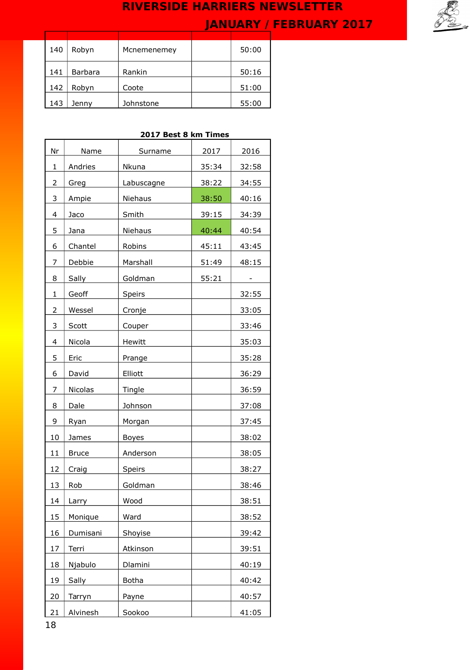

| 140 | Robyn          | Mcnemenemey | 50:00 |
|-----|----------------|-------------|-------|
| 141 | <b>Barbara</b> | Rankin      | 50:16 |
| 142 | Robyn          | Coote       | 51:00 |
| 143 | Jenny          | Johnstone   | 55:00 |

## **2017 Best 8 km Times**

| Nr | Name         | Surname      | 2017  | 2016  |
|----|--------------|--------------|-------|-------|
| 1  | Andries      | Nkuna        | 35:34 | 32:58 |
| 2  | Greg         | Labuscagne   | 38:22 | 34:55 |
| 3  | Ampie        | Niehaus      | 38:50 | 40:16 |
| 4  | Jaco         | Smith        | 39:15 | 34:39 |
| 5  | Jana         | Niehaus      | 40:44 | 40:54 |
| 6  | Chantel      | Robins       | 45:11 | 43:45 |
| 7  | Debbie       | Marshall     | 51:49 | 48:15 |
| 8  | Sally        | Goldman      | 55:21 |       |
| 1  | Geoff        | Speirs       |       | 32:55 |
| 2  | Wessel       | Cronje       |       | 33:05 |
| 3  | Scott        | Couper       |       | 33:46 |
| 4  | Nicola       | Hewitt       |       | 35:03 |
| 5  | Eric         | Prange       |       | 35:28 |
| 6  | David        | Elliott      |       | 36:29 |
| 7  | Nicolas      | Tingle       |       | 36:59 |
| 8  | Dale         | Johnson      |       | 37:08 |
| 9  | Ryan         | Morgan       |       | 37:45 |
| 10 | James        | <b>Boyes</b> |       | 38:02 |
| 11 | <b>Bruce</b> | Anderson     |       | 38:05 |
| 12 | Craig        | Speirs       |       | 38:27 |
| 13 | Rob          | Goldman      |       | 38:46 |
| 14 | Larry        | Wood         |       | 38:51 |
| 15 | Monique      | Ward         |       | 38:52 |
| 16 | Dumisani     | Shoyise      |       | 39:42 |
| 17 | Terri        | Atkinson     |       | 39:51 |
| 18 | Njabulo      | Dlamini      |       | 40:19 |
| 19 | Sally        | Botha        |       | 40:42 |
| 20 | Tarryn       | Payne        |       | 40:57 |
| 21 | Alvinesh     | Sookoo       |       | 41:05 |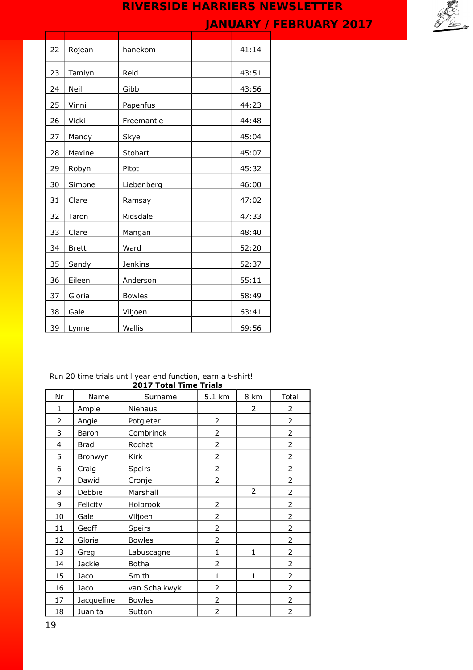

| 22 | Rojean       | hanekom        | 41:14 |
|----|--------------|----------------|-------|
| 23 | Tamlyn       | Reid           | 43:51 |
| 24 | Neil         | Gibb           | 43:56 |
| 25 | Vinni        | Papenfus       | 44:23 |
| 26 | Vicki        | Freemantle     | 44:48 |
| 27 | Mandy        | Skye           | 45:04 |
| 28 | Maxine       | Stobart        | 45:07 |
| 29 | Robyn        | Pitot          | 45:32 |
| 30 | Simone       | Liebenberg     | 46:00 |
| 31 | Clare        | Ramsay         | 47:02 |
| 32 | Taron        | Ridsdale       | 47:33 |
| 33 | Clare        | Mangan         | 48:40 |
| 34 | <b>Brett</b> | Ward           | 52:20 |
| 35 | Sandy        | <b>Jenkins</b> | 52:37 |
| 36 | Eileen       | Anderson       | 55:11 |
| 37 | Gloria       | <b>Bowles</b>  | 58:49 |
| 38 | Gale         | Viljoen        | 63:41 |
| 39 | Lynne        | Wallis         | 69:56 |
|    |              |                |       |

#### Run 20 time trials until year end function, earn a t-shirt! **2017 Total Time Trials**

| Nr | Name        | Surname       | 5.1 km         | 8 km           | Total          |
|----|-------------|---------------|----------------|----------------|----------------|
| 1  | Ampie       | Niehaus       |                | $\overline{2}$ | 2              |
| 2  | Angie       | Potgieter     | 2              |                | $\overline{2}$ |
| 3  | Baron       | Combrinck     | $\overline{2}$ |                | 2              |
| 4  | <b>Brad</b> | Rochat        | $\overline{2}$ |                | $\overline{2}$ |
| 5  | Bronwyn     | Kirk          | $\overline{2}$ |                | $\overline{2}$ |
| 6  | Craig       | Speirs        | $\overline{2}$ |                | $\overline{2}$ |
| 7  | Dawid       | Cronje        | 2              |                | 2              |
| 8  | Debbie      | Marshall      |                | $\overline{2}$ | 2              |
| 9  | Felicity    | Holbrook      | 2              |                | 2              |
| 10 | Gale        | Viljoen       | $\overline{2}$ |                | $\overline{2}$ |
| 11 | Geoff       | <b>Speirs</b> | 2              |                | $\overline{2}$ |
| 12 | Gloria      | <b>Bowles</b> | $\overline{2}$ |                | 2              |
| 13 | Greg        | Labuscagne    | $\mathbf{1}$   | 1              | 2              |
| 14 | Jackie      | <b>Botha</b>  | $\overline{2}$ |                | $\overline{2}$ |
| 15 | Jaco        | Smith         | $\mathbf 1$    | 1              | 2              |
| 16 | Jaco        | van Schalkwyk | 2              |                | 2              |
| 17 | Jacqueline  | <b>Bowles</b> | $\overline{2}$ |                | $\overline{2}$ |
| 18 | Juanita     | Sutton        | $\overline{2}$ |                | $\overline{2}$ |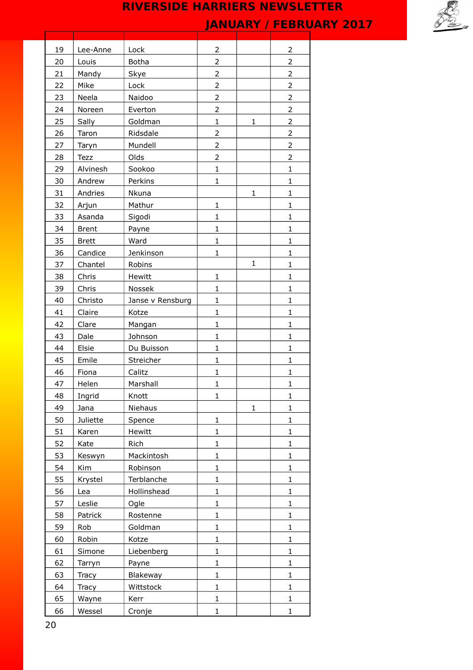

| 19 | Lee-Anne     | Lock             | 2              |              | 2              |
|----|--------------|------------------|----------------|--------------|----------------|
| 20 | Louis        | <b>Botha</b>     | $\overline{2}$ |              | $\overline{2}$ |
| 21 | Mandy        | Skye             | $\overline{2}$ |              | $\overline{2}$ |
| 22 | Mike         | Lock             | $\overline{2}$ |              | $\overline{2}$ |
| 23 | Neela        | Naidoo           | $\overline{2}$ |              | 2              |
| 24 | Noreen       | Everton          | $\overline{2}$ |              | $\overline{2}$ |
| 25 | Sally        | Goldman          | $\mathbf{1}$   | $\mathbf{1}$ | 2              |
| 26 | Taron        | Ridsdale         | $\overline{2}$ |              | $\overline{2}$ |
| 27 | Taryn        | Mundell          | $\overline{2}$ |              | 2              |
| 28 | Tezz         | Olds             | $\overline{2}$ |              | $\overline{2}$ |
| 29 | Alvinesh     | Sookoo           | $\mathbf{1}$   |              | $\mathbf{1}$   |
| 30 | Andrew       | Perkins          | $\mathbf{1}$   |              | $\mathbf{1}$   |
| 31 | Andries      | Nkuna            |                | $\mathbf{1}$ | $\mathbf{1}$   |
| 32 | Arjun        | Mathur           | $\mathbf{1}$   |              | $\mathbf{1}$   |
| 33 | Asanda       | Sigodi           | $\mathbf{1}$   |              | $\mathbf{1}$   |
| 34 | <b>Brent</b> | Payne            | $\mathbf{1}$   |              | $\mathbf{1}$   |
| 35 | <b>Brett</b> | Ward             | $\mathbf{1}$   |              | $\mathbf{1}$   |
| 36 | Candice      | Jenkinson        | $\mathbf{1}$   |              | $\mathbf{1}$   |
| 37 | Chantel      | Robins           |                | $\mathbf{1}$ | $\mathbf{1}$   |
| 38 | Chris        | Hewitt           | $\mathbf{1}$   |              | $\mathbf{1}$   |
| 39 | Chris        | Nossek           | $\mathbf{1}$   |              | $\mathbf{1}$   |
| 40 | Christo      | Janse v Rensburg | $\mathbf 1$    |              | $\mathbf{1}$   |
| 41 | Claire       | Kotze            | $\mathbf{1}$   |              | $\mathbf{1}$   |
| 42 | Clare        | Mangan           | $\mathbf 1$    |              | $\mathbf{1}$   |
| 43 | Dale         | Johnson          | $\mathbf{1}$   |              | $\mathbf{1}$   |
| 44 | Elsie        | Du Buisson       | $\mathbf{1}$   |              | $\mathbf{1}$   |
| 45 | Emile        | Streicher        | $\mathbf{1}$   |              | $\mathbf{1}$   |
| 46 | Fiona        | Calitz           | $\mathbf{1}$   |              | $\mathbf{1}$   |
| 47 | Helen        | Marshall         | $\mathbf{1}$   |              | $\mathbf{1}$   |
| 48 | Ingrid       | Knott            | 1              |              | $\mathbf{1}$   |
| 49 | Jana         | Niehaus          |                | $\mathbf 1$  | 1              |
| 50 | Juliette     | Spence           | $\mathbf{1}$   |              | $\mathbf{1}$   |
| 51 | Karen        | Hewitt           | $\mathbf{1}$   |              | $\mathbf{1}$   |
| 52 | Kate         | Rich             | $\mathbf{1}$   |              | $\mathbf{1}$   |
| 53 | Keswyn       | Mackintosh       | $\mathbf{1}$   |              | $\mathbf{1}$   |
| 54 | Kim          | Robinson         | $\mathbf 1$    |              | $\mathbf{1}$   |
| 55 | Krystel      | Terblanche       | $\mathbf 1$    |              | $\mathbf{1}$   |
| 56 | Lea          | Hollinshead      | $\mathbf{1}$   |              | $\mathbf{1}$   |
| 57 | Leslie       | Ogle             | 1              |              | $\mathbf{1}$   |
| 58 | Patrick      | Rostenne         | $\mathbf 1$    |              | $\mathbf{1}$   |
| 59 | Rob          | Goldman          | $\mathbf{1}$   |              | $\mathbf{1}$   |
| 60 | Robin        | Kotze            | $\mathbf{1}$   |              | $\mathbf{1}$   |
| 61 | Simone       | Liebenberg       | $\mathbf{1}$   |              | $\mathbf{1}$   |
| 62 | Tarryn       | Payne            | $\mathbf 1$    |              | $\mathbf{1}$   |
| 63 | Tracy        | Blakeway         | $\mathbf{1}$   |              | $\mathbf{1}$   |
| 64 | Tracy        | Wittstock        | $\mathbf 1$    |              | $\mathbf{1}$   |
| 65 | Wayne        | Kerr             | $\mathbf 1$    |              | $\mathbf 1$    |
|    |              |                  |                |              |                |
| 66 | Wessel       | Cronje           | $\mathbf 1$    |              | $\mathbf{1}$   |